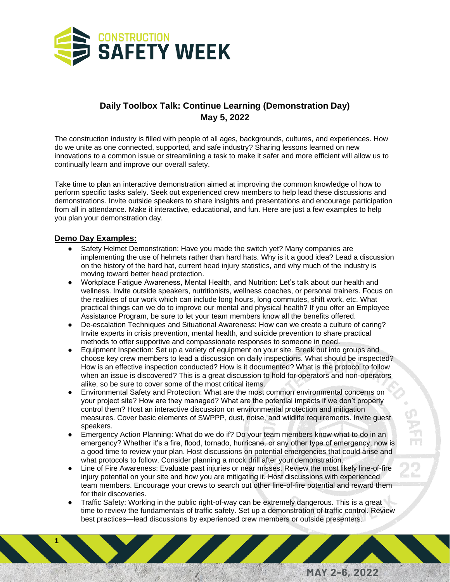

## **Daily Toolbox Talk: Continue Learning (Demonstration Day) May 5, 2022**

The construction industry is filled with people of all ages, backgrounds, cultures, and experiences. How do we unite as one connected, supported, and safe industry? Sharing lessons learned on new innovations to a common issue or streamlining a task to make it safer and more efficient will allow us to continually learn and improve our overall safety.

Take time to plan an interactive demonstration aimed at improving the common knowledge of how to perform specific tasks safely. Seek out experienced crew members to help lead these discussions and demonstrations. Invite outside speakers to share insights and presentations and encourage participation from all in attendance. Make it interactive, educational, and fun. Here are just a few examples to help you plan your demonstration day.

## **Demo Day Examples:**

**1**

- Safety Helmet Demonstration: Have you made the switch yet? Many companies are implementing the use of helmets rather than hard hats. Why is it a good idea? Lead a discussion on the history of the hard hat, current head injury statistics, and why much of the industry is moving toward better head protection.
- Workplace Fatigue Awareness, Mental Health, and Nutrition: Let's talk about our health and wellness. Invite outside speakers, nutritionists, wellness coaches, or personal trainers. Focus on the realities of our work which can include long hours, long commutes, shift work, etc. What practical things can we do to improve our mental and physical health? If you offer an Employee Assistance Program, be sure to let your team members know all the benefits offered.
- De-escalation Techniques and Situational Awareness: How can we create a culture of caring? Invite experts in crisis prevention, mental health, and suicide prevention to share practical methods to offer supportive and compassionate responses to someone in need.
- Equipment Inspection: Set up a variety of equipment on your site. Break out into groups and choose key crew members to lead a discussion on daily inspections. What should be inspected? How is an effective inspection conducted? How is it documented? What is the protocol to follow when an issue is discovered? This is a great discussion to hold for operators and non-operators alike, so be sure to cover some of the most critical items.
- Environmental Safety and Protection: What are the most common environmental concerns on your project site? How are they managed? What are the potential impacts if we don't properly control them? Host an interactive discussion on environmental protection and mitigation measures. Cover basic elements of SWPPP, dust, noise, and wildlife requirements. Invite guest speakers.
- Emergency Action Planning: What do we do if? Do your team members know what to do in an emergency? Whether it's a fire, flood, tornado, hurricane, or any other type of emergency, now is a good time to review your plan. Host discussions on potential emergencies that could arise and what protocols to follow. Consider planning a mock drill after your demonstration.
- Line of Fire Awareness: Evaluate past injuries or near misses. Review the most likely line-of-fire injury potential on your site and how you are mitigating it. Host discussions with experienced team members. Encourage your crews to search out other line-of-fire potential and reward them for their discoveries.
- Traffic Safety: Working in the public right-of-way can be extremely dangerous. This is a great time to review the fundamentals of traffic safety. Set up a demonstration of traffic control. Review best practices—lead discussions by experienced crew members or outside presenters.

MAY 2-6, 2022